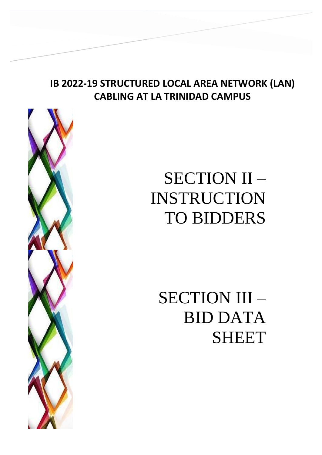## **IB 2022-19 STRUCTURED LOCAL AREA NETWORK (LAN) CABLING AT LA TRINIDAD CAMPUS**



# SECTION II – INSTRUCTION TO BIDDERS

SECTION III – BID DATA SHEET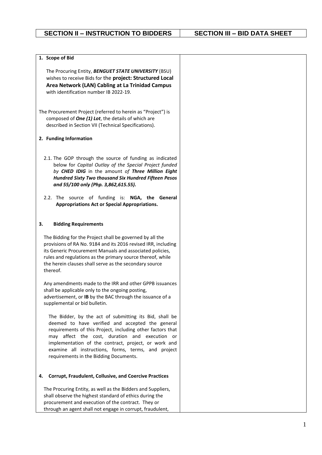| 1. Scope of Bid                                                                                                                                                                                                                                                                                                                                                                     |  |
|-------------------------------------------------------------------------------------------------------------------------------------------------------------------------------------------------------------------------------------------------------------------------------------------------------------------------------------------------------------------------------------|--|
| The Procuring Entity, BENGUET STATE UNIVERSITY (BSU)<br>wishes to receive Bids for the project: Structured Local<br>Area Network (LAN) Cabling at La Trinidad Campus<br>with identification number IB 2022-19.                                                                                                                                                                      |  |
| The Procurement Project (referred to herein as "Project") is<br>composed of One (1) Lot, the details of which are<br>described in Section VII (Technical Specifications).                                                                                                                                                                                                           |  |
| 2. Funding Information                                                                                                                                                                                                                                                                                                                                                              |  |
| 2.1. The GOP through the source of funding as indicated<br>below for Capital Outlay of the Special Project funded<br>by CHED IDIG in the amount of Three Million Eight<br>Hundred Sixty Two thousand Six Hundred Fifteen Pesos<br>and 55/100 only (Php. 3,862,615.55).                                                                                                              |  |
| 2.2. The source of funding is: NGA, the General<br>Appropriations Act or Special Appropriations.                                                                                                                                                                                                                                                                                    |  |
| 3.<br><b>Bidding Requirements</b>                                                                                                                                                                                                                                                                                                                                                   |  |
| The Bidding for the Project shall be governed by all the<br>provisions of RA No. 9184 and its 2016 revised IRR, including<br>its Generic Procurement Manuals and associated policies,<br>rules and regulations as the primary source thereof, while<br>the herein clauses shall serve as the secondary source<br>thereof.                                                           |  |
| Any amendments made to the IRR and other GPPB issuances<br>shall be applicable only to the ongoing posting,<br>advertisement, or IB by the BAC through the issuance of a<br>supplemental or bid bulletin.                                                                                                                                                                           |  |
| The Bidder, by the act of submitting its Bid, shall be<br>deemed to have verified and accepted the general<br>requirements of this Project, including other factors that<br>may affect the cost, duration and execution or<br>implementation of the contract, project, or work and<br>examine all instructions, forms, terms, and project<br>requirements in the Bidding Documents. |  |
| <b>Corrupt, Fraudulent, Collusive, and Coercive Practices</b><br>4.                                                                                                                                                                                                                                                                                                                 |  |
| The Procuring Entity, as well as the Bidders and Suppliers,<br>shall observe the highest standard of ethics during the<br>procurement and execution of the contract. They or<br>through an agent shall not engage in corrupt, fraudulent,                                                                                                                                           |  |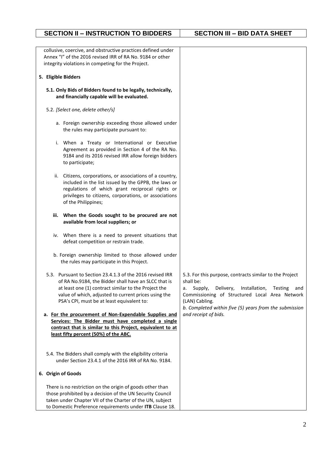| collusive, coercive, and obstructive practices defined under<br>Annex "I" of the 2016 revised IRR of RA No. 9184 or other<br>integrity violations in competing for the Project.                                                                                                 |                                                                                                                                                                                                                                                                  |
|---------------------------------------------------------------------------------------------------------------------------------------------------------------------------------------------------------------------------------------------------------------------------------|------------------------------------------------------------------------------------------------------------------------------------------------------------------------------------------------------------------------------------------------------------------|
| 5. Eligible Bidders                                                                                                                                                                                                                                                             |                                                                                                                                                                                                                                                                  |
| 5.1. Only Bids of Bidders found to be legally, technically,<br>and financially capable will be evaluated.                                                                                                                                                                       |                                                                                                                                                                                                                                                                  |
| 5.2. [Select one, delete other/s]                                                                                                                                                                                                                                               |                                                                                                                                                                                                                                                                  |
| a. Foreign ownership exceeding those allowed under<br>the rules may participate pursuant to:                                                                                                                                                                                    |                                                                                                                                                                                                                                                                  |
| i. When a Treaty or International or Executive<br>Agreement as provided in Section 4 of the RA No.<br>9184 and its 2016 revised IRR allow foreign bidders<br>to participate;                                                                                                    |                                                                                                                                                                                                                                                                  |
| Citizens, corporations, or associations of a country,<br>ii.<br>included in the list issued by the GPPB, the laws or<br>regulations of which grant reciprocal rights or<br>privileges to citizens, corporations, or associations<br>of the Philippines;                         |                                                                                                                                                                                                                                                                  |
| When the Goods sought to be procured are not<br>iii.<br>available from local suppliers; or                                                                                                                                                                                      |                                                                                                                                                                                                                                                                  |
| iv. When there is a need to prevent situations that<br>defeat competition or restrain trade.                                                                                                                                                                                    |                                                                                                                                                                                                                                                                  |
| b. Foreign ownership limited to those allowed under<br>the rules may participate in this Project.                                                                                                                                                                               |                                                                                                                                                                                                                                                                  |
| 5.3. Pursuant to Section 23.4.1.3 of the 2016 revised IRR<br>of RA No.9184, the Bidder shall have an SLCC that is<br>at least one (1) contract similar to the Project the<br>value of which, adjusted to current prices using the<br>PSA's CPI, must be at least equivalent to: | 5.3. For this purpose, contracts similar to the Project<br>shall be:<br>Delivery, Installation,<br>Supply,<br>Testing<br>and<br>а.<br>Commissioning of Structured Local Area Network<br>(LAN) Cabling.<br>b. Completed within five (5) years from the submission |
| a. For the procurement of Non-Expendable Supplies and<br>Services: The Bidder must have completed a single<br>contract that is similar to this Project, equivalent to at<br>least fifty percent (50%) of the ABC.                                                               | and receipt of bids.                                                                                                                                                                                                                                             |
| 5.4. The Bidders shall comply with the eligibility criteria<br>under Section 23.4.1 of the 2016 IRR of RA No. 9184.                                                                                                                                                             |                                                                                                                                                                                                                                                                  |
| 6. Origin of Goods                                                                                                                                                                                                                                                              |                                                                                                                                                                                                                                                                  |
| There is no restriction on the origin of goods other than<br>those prohibited by a decision of the UN Security Council<br>taken under Chapter VII of the Charter of the UN, subject<br>to Domestic Preference requirements under ITB Clause 18.                                 |                                                                                                                                                                                                                                                                  |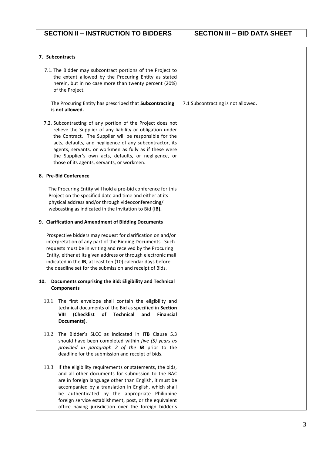| 7. Subcontracts                                                                                                                                                                                                                                                                                                                                                                                               |                                    |
|---------------------------------------------------------------------------------------------------------------------------------------------------------------------------------------------------------------------------------------------------------------------------------------------------------------------------------------------------------------------------------------------------------------|------------------------------------|
| 7.1. The Bidder may subcontract portions of the Project to<br>the extent allowed by the Procuring Entity as stated<br>herein, but in no case more than twenty percent (20%)<br>of the Project.                                                                                                                                                                                                                |                                    |
| The Procuring Entity has prescribed that Subcontracting<br>is not allowed.                                                                                                                                                                                                                                                                                                                                    | 7.1 Subcontracting is not allowed. |
| 7.2. Subcontracting of any portion of the Project does not<br>relieve the Supplier of any liability or obligation under<br>the Contract. The Supplier will be responsible for the<br>acts, defaults, and negligence of any subcontractor, its<br>agents, servants, or workmen as fully as if these were<br>the Supplier's own acts, defaults, or negligence, or<br>those of its agents, servants, or workmen. |                                    |
| 8. Pre-Bid Conference                                                                                                                                                                                                                                                                                                                                                                                         |                                    |
| The Procuring Entity will hold a pre-bid conference for this<br>Project on the specified date and time and either at its<br>physical address and/or through videoconferencing/<br>webcasting as indicated in the Invitation to Bid (IB).                                                                                                                                                                      |                                    |
| 9. Clarification and Amendment of Bidding Documents                                                                                                                                                                                                                                                                                                                                                           |                                    |
| Prospective bidders may request for clarification on and/or<br>interpretation of any part of the Bidding Documents. Such<br>requests must be in writing and received by the Procuring<br>Entity, either at its given address or through electronic mail<br>indicated in the IB, at least ten (10) calendar days before<br>the deadline set for the submission and receipt of Bids.                            |                                    |
| Documents comprising the Bid: Eligibility and Technical<br>10.<br><b>Components</b>                                                                                                                                                                                                                                                                                                                           |                                    |
| 10.1. The first envelope shall contain the eligibility and<br>technical documents of the Bid as specified in Section<br><b>Technical</b><br>(Checklist<br>of<br>and<br><b>Financial</b><br>VIII<br>Documents).                                                                                                                                                                                                |                                    |
| 10.2. The Bidder's SLCC as indicated in <b>ITB</b> Clause 5.3<br>should have been completed within five (5) years as<br>provided in paragraph 2 of the IB prior to the<br>deadline for the submission and receipt of bids.                                                                                                                                                                                    |                                    |
| 10.3. If the eligibility requirements or statements, the bids,<br>and all other documents for submission to the BAC<br>are in foreign language other than English, it must be<br>accompanied by a translation in English, which shall<br>be authenticated by the appropriate Philippine<br>foreign service establishment, post, or the equivalent<br>office having jurisdiction over the foreign bidder's     |                                    |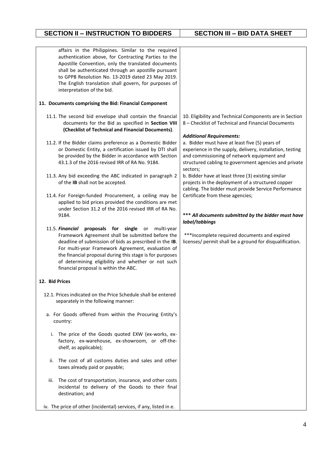### **SECTION II – INSTRUCTION TO BIDDERS SECTION III – BID DATA SHEET**

| affairs in the Philippines. Similar to the required<br>authentication above, for Contracting Parties to the<br>Apostille Convention, only the translated documents<br>shall be authenticated through an apostille pursuant<br>to GPPB Resolution No. 13-2019 dated 23 May 2019.<br>The English translation shall govern, for purposes of<br>interpretation of the bid.             |                                                                                                                                                                                                                                |
|------------------------------------------------------------------------------------------------------------------------------------------------------------------------------------------------------------------------------------------------------------------------------------------------------------------------------------------------------------------------------------|--------------------------------------------------------------------------------------------------------------------------------------------------------------------------------------------------------------------------------|
| 11. Documents comprising the Bid: Financial Component                                                                                                                                                                                                                                                                                                                              |                                                                                                                                                                                                                                |
| 11.1. The second bid envelope shall contain the financial<br>documents for the Bid as specified in Section VIII<br>(Checklist of Technical and Financial Documents).                                                                                                                                                                                                               | 10. Eligibility and Technical Components are in Section<br>8 – Checklist of Technical and Financial Documents<br><b>Additional Requirements:</b>                                                                               |
| 11.2. If the Bidder claims preference as a Domestic Bidder<br>or Domestic Entity, a certification issued by DTI shall<br>be provided by the Bidder in accordance with Section<br>43.1.3 of the 2016 revised IRR of RA No. 9184.                                                                                                                                                    | a. Bidder must have at least five (5) years of<br>experience in the supply, delivery, installation, testing<br>and commissioning of network equipment and<br>structured cabling to government agencies and private<br>sectors; |
| 11.3. Any bid exceeding the ABC indicated in paragraph 2<br>of the IB shall not be accepted.                                                                                                                                                                                                                                                                                       | b. Bidder have at least three (3) existing similar<br>projects in the deployment of a structured copper<br>cabling. The bidder must provide Service Performance                                                                |
| 11.4. For Foreign-funded Procurement, a ceiling may be<br>applied to bid prices provided the conditions are met<br>under Section 31.2 of the 2016 revised IRR of RA No.<br>9184.                                                                                                                                                                                                   | Certificate from these agencies;<br>*** All documents submitted by the bidder must have<br>label/tabbings                                                                                                                      |
| 11.5. Financial proposals for single or multi-year<br>Framework Agreement shall be submitted before the<br>deadline of submission of bids as prescribed in the IB.<br>For multi-year Framework Agreement, evaluation of<br>the financial proposal during this stage is for purposes<br>of determining eligibility and whether or not such<br>financial proposal is within the ABC. | ***Incomplete required documents and expired<br>licenses/ permit shall be a ground for disqualification.                                                                                                                       |
| 12. Bid Prices                                                                                                                                                                                                                                                                                                                                                                     |                                                                                                                                                                                                                                |
| 12.1. Prices indicated on the Price Schedule shall be entered<br>separately in the following manner:                                                                                                                                                                                                                                                                               |                                                                                                                                                                                                                                |
| a. For Goods offered from within the Procuring Entity's<br>country:                                                                                                                                                                                                                                                                                                                |                                                                                                                                                                                                                                |
| i. The price of the Goods quoted EXW (ex-works, ex-<br>factory, ex-warehouse, ex-showroom, or off-the-<br>shelf, as applicable);                                                                                                                                                                                                                                                   |                                                                                                                                                                                                                                |
| The cost of all customs duties and sales and other<br>ii.<br>taxes already paid or payable;                                                                                                                                                                                                                                                                                        |                                                                                                                                                                                                                                |
| The cost of transportation, insurance, and other costs<br>iii.<br>incidental to delivery of the Goods to their final<br>destination; and                                                                                                                                                                                                                                           |                                                                                                                                                                                                                                |
| iv. The price of other (incidental) services, if any, listed in e.                                                                                                                                                                                                                                                                                                                 |                                                                                                                                                                                                                                |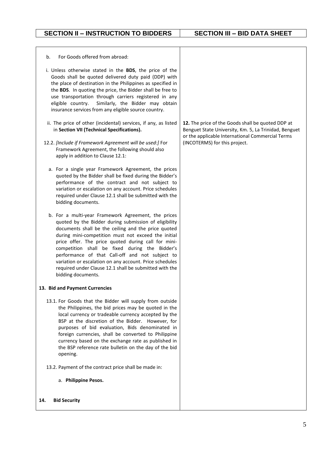| For Goods offered from abroad:<br>b.<br>i. Unless otherwise stated in the BDS, the price of the<br>Goods shall be quoted delivered duty paid (DDP) with<br>the place of destination in the Philippines as specified in<br>the BDS. In quoting the price, the Bidder shall be free to<br>use transportation through carriers registered in any<br>eligible country.<br>Similarly, the Bidder may obtain<br>insurance services from any eligible source country.                                                                    |                                                                                                                                                                                                 |
|-----------------------------------------------------------------------------------------------------------------------------------------------------------------------------------------------------------------------------------------------------------------------------------------------------------------------------------------------------------------------------------------------------------------------------------------------------------------------------------------------------------------------------------|-------------------------------------------------------------------------------------------------------------------------------------------------------------------------------------------------|
| ii. The price of other (incidental) services, if any, as listed<br>in Section VII (Technical Specifications).<br>12.2. [Include if Framework Agreement will be used:] For<br>Framework Agreement, the following should also<br>apply in addition to Clause 12.1:                                                                                                                                                                                                                                                                  | 12. The price of the Goods shall be quoted DDP at<br>Benguet State University, Km. 5, La Trinidad, Benguet<br>or the applicable International Commercial Terms<br>(INCOTERMS) for this project. |
| a. For a single year Framework Agreement, the prices<br>quoted by the Bidder shall be fixed during the Bidder's<br>performance of the contract and not subject to<br>variation or escalation on any account. Price schedules<br>required under Clause 12.1 shall be submitted with the<br>bidding documents.                                                                                                                                                                                                                      |                                                                                                                                                                                                 |
| b. For a multi-year Framework Agreement, the prices<br>quoted by the Bidder during submission of eligibility<br>documents shall be the ceiling and the price quoted<br>during mini-competition must not exceed the initial<br>price offer. The price quoted during call for mini-<br>competition shall be fixed during the Bidder's<br>performance of that Call-off and not subject to<br>variation or escalation on any account. Price schedules<br>required under Clause 12.1 shall be submitted with the<br>bidding documents. |                                                                                                                                                                                                 |
| 13. Bid and Payment Currencies                                                                                                                                                                                                                                                                                                                                                                                                                                                                                                    |                                                                                                                                                                                                 |
| 13.1. For Goods that the Bidder will supply from outside<br>the Philippines, the bid prices may be quoted in the<br>local currency or tradeable currency accepted by the<br>BSP at the discretion of the Bidder. However, for<br>purposes of bid evaluation, Bids denominated in<br>foreign currencies, shall be converted to Philippine<br>currency based on the exchange rate as published in<br>the BSP reference rate bulletin on the day of the bid<br>opening.                                                              |                                                                                                                                                                                                 |
| 13.2. Payment of the contract price shall be made in:                                                                                                                                                                                                                                                                                                                                                                                                                                                                             |                                                                                                                                                                                                 |
| a. Philippine Pesos.                                                                                                                                                                                                                                                                                                                                                                                                                                                                                                              |                                                                                                                                                                                                 |
| 14.<br><b>Bid Security</b>                                                                                                                                                                                                                                                                                                                                                                                                                                                                                                        |                                                                                                                                                                                                 |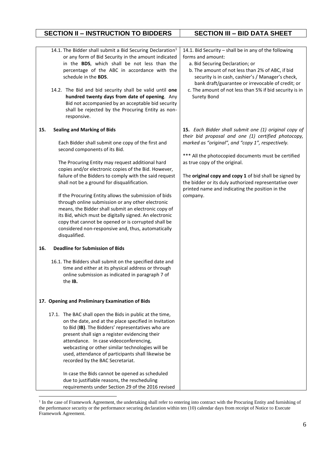#### **SECTION II – INSTRUCTION TO BIDDERS SECTION III – BID DATA SHEET**

|     | 14.1. The Bidder shall submit a Bid Securing Declaration <sup>1</sup><br>or any form of Bid Security in the amount indicated<br>in the BDS, which shall be not less than the<br>percentage of the ABC in accordance with the<br>schedule in the BDS.<br>14.2. The Bid and bid security shall be valid until one<br>hundred twenty days from date of opening. Any<br>Bid not accompanied by an acceptable bid security<br>shall be rejected by the Procuring Entity as non-<br>responsive.                                                                                                                                                                                                                    | 14.1. Bid Security - shall be in any of the following<br>forms and amount:<br>a. Bid Securing Declaration; or<br>b. The amount of not less than 2% of ABC, if bid<br>security is in cash, cashier's / Manager's check,<br>bank draft/guarantee or irrevocable of credit; or<br>c. The amount of not less than 5% if bid security is in<br><b>Surety Bond</b>                                                                                |
|-----|--------------------------------------------------------------------------------------------------------------------------------------------------------------------------------------------------------------------------------------------------------------------------------------------------------------------------------------------------------------------------------------------------------------------------------------------------------------------------------------------------------------------------------------------------------------------------------------------------------------------------------------------------------------------------------------------------------------|---------------------------------------------------------------------------------------------------------------------------------------------------------------------------------------------------------------------------------------------------------------------------------------------------------------------------------------------------------------------------------------------------------------------------------------------|
| 15. | <b>Sealing and Marking of Bids</b><br>Each Bidder shall submit one copy of the first and<br>second components of its Bid.<br>The Procuring Entity may request additional hard<br>copies and/or electronic copies of the Bid. However,<br>failure of the Bidders to comply with the said request<br>shall not be a ground for disqualification.<br>If the Procuring Entity allows the submission of bids<br>through online submission or any other electronic<br>means, the Bidder shall submit an electronic copy of<br>its Bid, which must be digitally signed. An electronic<br>copy that cannot be opened or is corrupted shall be<br>considered non-responsive and, thus, automatically<br>disqualified. | 15. Each Bidder shall submit one (1) original copy of<br>their bid proposal and one (1) certified photocopy,<br>marked as "original", and "copy 1", respectively.<br>*** All the photocopied documents must be certified<br>as true copy of the original.<br>The original copy and copy 1 of bid shall be signed by<br>the bidder or its duly authorized representative over<br>printed name and indicating the position in the<br>company. |
| 16. | <b>Deadline for Submission of Bids</b>                                                                                                                                                                                                                                                                                                                                                                                                                                                                                                                                                                                                                                                                       |                                                                                                                                                                                                                                                                                                                                                                                                                                             |
|     | 16.1. The Bidders shall submit on the specified date and<br>time and either at its physical address or through<br>online submission as indicated in paragraph 7 of<br>the IB.                                                                                                                                                                                                                                                                                                                                                                                                                                                                                                                                |                                                                                                                                                                                                                                                                                                                                                                                                                                             |
|     | 17. Opening and Preliminary Examination of Bids                                                                                                                                                                                                                                                                                                                                                                                                                                                                                                                                                                                                                                                              |                                                                                                                                                                                                                                                                                                                                                                                                                                             |
|     | 17.1. The BAC shall open the Bids in public at the time,<br>on the date, and at the place specified in Invitation<br>to Bid (IB). The Bidders' representatives who are<br>present shall sign a register evidencing their<br>attendance. In case videoconferencing,<br>webcasting or other similar technologies will be<br>used, attendance of participants shall likewise be<br>recorded by the BAC Secretariat.<br>In case the Bids cannot be opened as scheduled<br>due to justifiable reasons, the rescheduling<br>requirements under Section 29 of the 2016 revised                                                                                                                                      |                                                                                                                                                                                                                                                                                                                                                                                                                                             |

1

<sup>&</sup>lt;sup>1</sup> In the case of Framework Agreement, the undertaking shall refer to entering into contract with the Procuring Entity and furnishing of the performance security or the performance securing declaration within ten (10) calendar days from receipt of Notice to Execute Framework Agreement.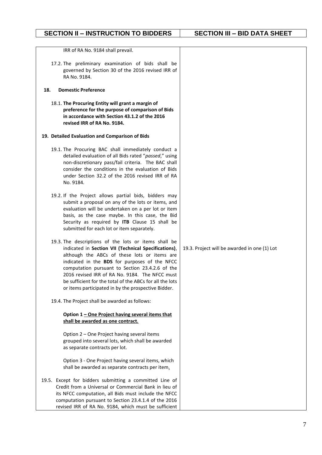#### **SECTION II – INSTRUCTION TO BIDDERS SECTION III – BID DATA SHEET**

| IRR of RA No. 9184 shall prevail.                                                                                                                                                                                                                                                                                                                                                                                                     |                                              |
|---------------------------------------------------------------------------------------------------------------------------------------------------------------------------------------------------------------------------------------------------------------------------------------------------------------------------------------------------------------------------------------------------------------------------------------|----------------------------------------------|
| 17.2. The preliminary examination of bids shall be<br>governed by Section 30 of the 2016 revised IRR of<br>RA No. 9184.                                                                                                                                                                                                                                                                                                               |                                              |
| <b>Domestic Preference</b><br>18.                                                                                                                                                                                                                                                                                                                                                                                                     |                                              |
| 18.1. The Procuring Entity will grant a margin of<br>preference for the purpose of comparison of Bids<br>in accordance with Section 43.1.2 of the 2016<br>revised IRR of RA No. 9184.                                                                                                                                                                                                                                                 |                                              |
| 19. Detailed Evaluation and Comparison of Bids                                                                                                                                                                                                                                                                                                                                                                                        |                                              |
| 19.1. The Procuring BAC shall immediately conduct a<br>detailed evaluation of all Bids rated "passed," using<br>non-discretionary pass/fail criteria. The BAC shall<br>consider the conditions in the evaluation of Bids<br>under Section 32.2 of the 2016 revised IRR of RA<br>No. 9184.                                                                                                                                             |                                              |
| 19.2. If the Project allows partial bids, bidders may<br>submit a proposal on any of the lots or items, and<br>evaluation will be undertaken on a per lot or item<br>basis, as the case maybe. In this case, the Bid<br>Security as required by ITB Clause 15 shall be<br>submitted for each lot or item separately.                                                                                                                  |                                              |
| 19.3. The descriptions of the lots or items shall be<br>indicated in Section VII (Technical Specifications),<br>although the ABCs of these lots or items are<br>indicated in the BDS for purposes of the NFCC<br>computation pursuant to Section 23.4.2.6 of the<br>2016 revised IRR of RA No. 9184. The NFCC must<br>be sufficient for the total of the ABCs for all the lots<br>or items participated in by the prospective Bidder. | 19.3. Project will be awarded in one (1) Lot |
| 19.4. The Project shall be awarded as follows:                                                                                                                                                                                                                                                                                                                                                                                        |                                              |
| Option 1 - One Project having several items that<br>shall be awarded as one contract.                                                                                                                                                                                                                                                                                                                                                 |                                              |
| Option 2 - One Project having several items<br>grouped into several lots, which shall be awarded<br>as separate contracts per lot.                                                                                                                                                                                                                                                                                                    |                                              |
| Option 3 - One Project having several items, which<br>shall be awarded as separate contracts per item.                                                                                                                                                                                                                                                                                                                                |                                              |
| 19.5. Except for bidders submitting a committed Line of<br>Credit from a Universal or Commercial Bank in lieu of<br>its NFCC computation, all Bids must include the NFCC<br>computation pursuant to Section 23.4.1.4 of the 2016<br>revised IRR of RA No. 9184, which must be sufficient                                                                                                                                              |                                              |